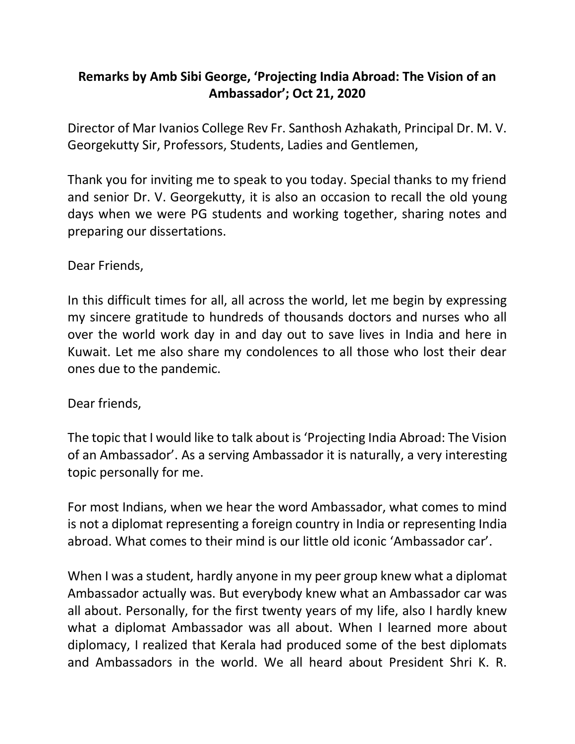## **Remarks by Amb Sibi George, 'Projecting India Abroad: The Vision of an Ambassador'; Oct 21, 2020**

Director of Mar Ivanios College Rev Fr. Santhosh Azhakath, Principal Dr. M. V. Georgekutty Sir, Professors, Students, Ladies and Gentlemen,

Thank you for inviting me to speak to you today. Special thanks to my friend and senior Dr. V. Georgekutty, it is also an occasion to recall the old young days when we were PG students and working together, sharing notes and preparing our dissertations.

Dear Friends,

In this difficult times for all, all across the world, let me begin by expressing my sincere gratitude to hundreds of thousands doctors and nurses who all over the world work day in and day out to save lives in India and here in Kuwait. Let me also share my condolences to all those who lost their dear ones due to the pandemic.

Dear friends,

The topic that I would like to talk about is 'Projecting India Abroad: The Vision of an Ambassador'. As a serving Ambassador it is naturally, a very interesting topic personally for me.

For most Indians, when we hear the word Ambassador, what comes to mind is not a diplomat representing a foreign country in India or representing India abroad. What comes to their mind is our little old iconic 'Ambassador car'.

When I was a student, hardly anyone in my peer group knew what a diplomat Ambassador actually was. But everybody knew what an Ambassador car was all about. Personally, for the first twenty years of my life, also I hardly knew what a diplomat Ambassador was all about. When I learned more about diplomacy, I realized that Kerala had produced some of the best diplomats and Ambassadors in the world. We all heard about President Shri K. R.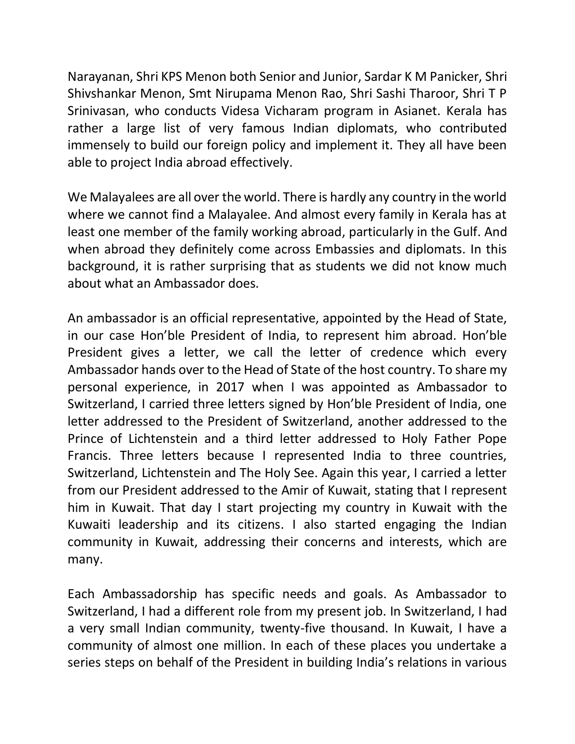Narayanan, Shri KPS Menon both Senior and Junior, Sardar K M Panicker, Shri Shivshankar Menon, Smt Nirupama Menon Rao, Shri Sashi Tharoor, Shri T P Srinivasan, who conducts Videsa Vicharam program in Asianet. Kerala has rather a large list of very famous Indian diplomats, who contributed immensely to build our foreign policy and implement it. They all have been able to project India abroad effectively.

We Malayalees are all over the world. There is hardly any country in the world where we cannot find a Malayalee. And almost every family in Kerala has at least one member of the family working abroad, particularly in the Gulf. And when abroad they definitely come across Embassies and diplomats. In this background, it is rather surprising that as students we did not know much about what an Ambassador does.

An ambassador is an official representative, appointed by the Head of State, in our case Hon'ble President of India, to represent him abroad. Hon'ble President gives a letter, we call the letter of credence which every Ambassador hands over to the Head of State of the host country. To share my personal experience, in 2017 when I was appointed as Ambassador to Switzerland, I carried three letters signed by Hon'ble President of India, one letter addressed to the President of Switzerland, another addressed to the Prince of Lichtenstein and a third letter addressed to Holy Father Pope Francis. Three letters because I represented India to three countries, Switzerland, Lichtenstein and The Holy See. Again this year, I carried a letter from our President addressed to the Amir of Kuwait, stating that I represent him in Kuwait. That day I start projecting my country in Kuwait with the Kuwaiti leadership and its citizens. I also started engaging the Indian community in Kuwait, addressing their concerns and interests, which are many.

Each Ambassadorship has specific needs and goals. As Ambassador to Switzerland, I had a different role from my present job. In Switzerland, I had a very small Indian community, twenty-five thousand. In Kuwait, I have a community of almost one million. In each of these places you undertake a series steps on behalf of the President in building India's relations in various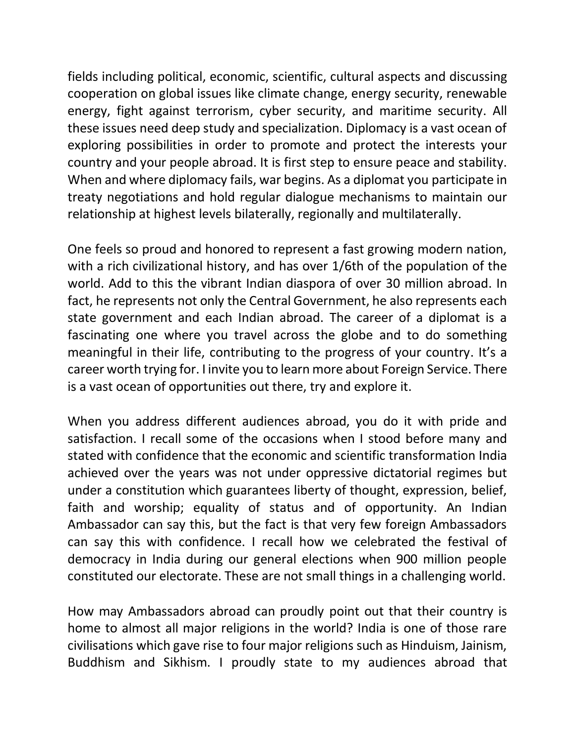fields including political, economic, scientific, cultural aspects and discussing cooperation on global issues like climate change, energy security, renewable energy, fight against terrorism, cyber security, and maritime security. All these issues need deep study and specialization. Diplomacy is a vast ocean of exploring possibilities in order to promote and protect the interests your country and your people abroad. It is first step to ensure peace and stability. When and where diplomacy fails, war begins. As a diplomat you participate in treaty negotiations and hold regular dialogue mechanisms to maintain our relationship at highest levels bilaterally, regionally and multilaterally.

One feels so proud and honored to represent a fast growing modern nation, with a rich civilizational history, and has over 1/6th of the population of the world. Add to this the vibrant Indian diaspora of over 30 million abroad. In fact, he represents not only the Central Government, he also represents each state government and each Indian abroad. The career of a diplomat is a fascinating one where you travel across the globe and to do something meaningful in their life, contributing to the progress of your country. It's a career worth trying for. I invite you to learn more about Foreign Service. There is a vast ocean of opportunities out there, try and explore it.

When you address different audiences abroad, you do it with pride and satisfaction. I recall some of the occasions when I stood before many and stated with confidence that the economic and scientific transformation India achieved over the years was not under oppressive dictatorial regimes but under a constitution which guarantees liberty of thought, expression, belief, faith and worship; equality of status and of opportunity. An Indian Ambassador can say this, but the fact is that very few foreign Ambassadors can say this with confidence. I recall how we celebrated the festival of democracy in India during our general elections when 900 million people constituted our electorate. These are not small things in a challenging world.

How may Ambassadors abroad can proudly point out that their country is home to almost all major religions in the world? India is one of those rare civilisations which gave rise to four major religions such as Hinduism, Jainism, Buddhism and Sikhism. I proudly state to my audiences abroad that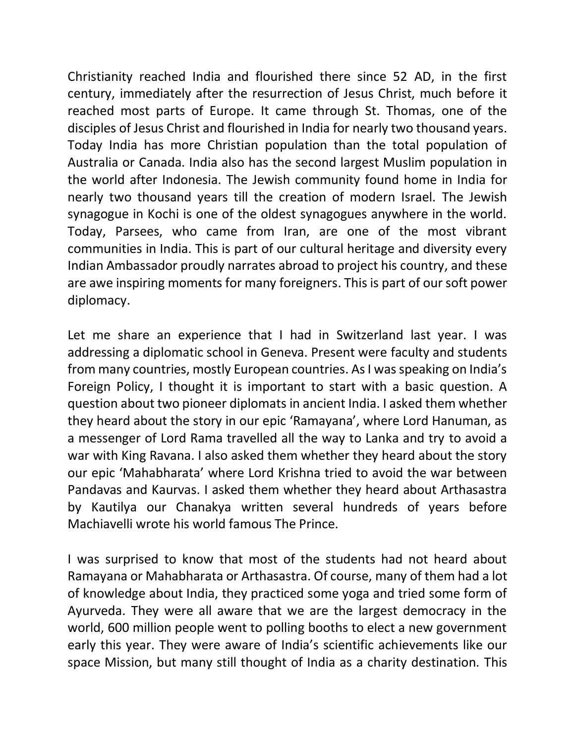Christianity reached India and flourished there since 52 AD, in the first century, immediately after the resurrection of Jesus Christ, much before it reached most parts of Europe. It came through St. Thomas, one of the disciples of Jesus Christ and flourished in India for nearly two thousand years. Today India has more Christian population than the total population of Australia or Canada. India also has the second largest Muslim population in the world after Indonesia. The Jewish community found home in India for nearly two thousand years till the creation of modern Israel. The Jewish synagogue in Kochi is one of the oldest synagogues anywhere in the world. Today, Parsees, who came from Iran, are one of the most vibrant communities in India. This is part of our cultural heritage and diversity every Indian Ambassador proudly narrates abroad to project his country, and these are awe inspiring moments for many foreigners. This is part of our soft power diplomacy.

Let me share an experience that I had in Switzerland last year. I was addressing a diplomatic school in Geneva. Present were faculty and students from many countries, mostly European countries. As I was speaking on India's Foreign Policy, I thought it is important to start with a basic question. A question about two pioneer diplomats in ancient India. I asked them whether they heard about the story in our epic 'Ramayana', where Lord Hanuman, as a messenger of Lord Rama travelled all the way to Lanka and try to avoid a war with King Ravana. I also asked them whether they heard about the story our epic 'Mahabharata' where Lord Krishna tried to avoid the war between Pandavas and Kaurvas. I asked them whether they heard about Arthasastra by Kautilya our Chanakya written several hundreds of years before Machiavelli wrote his world famous The Prince.

I was surprised to know that most of the students had not heard about Ramayana or Mahabharata or Arthasastra. Of course, many of them had a lot of knowledge about India, they practiced some yoga and tried some form of Ayurveda. They were all aware that we are the largest democracy in the world, 600 million people went to polling booths to elect a new government early this year. They were aware of India's scientific achievements like our space Mission, but many still thought of India as a charity destination. This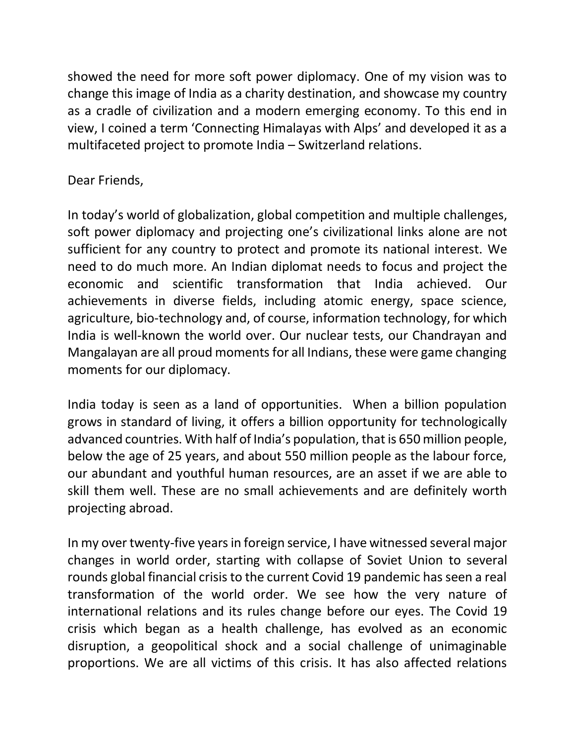showed the need for more soft power diplomacy. One of my vision was to change this image of India as a charity destination, and showcase my country as a cradle of civilization and a modern emerging economy. To this end in view, I coined a term 'Connecting Himalayas with Alps' and developed it as a multifaceted project to promote India – Switzerland relations.

## Dear Friends,

In today's world of globalization, global competition and multiple challenges, soft power diplomacy and projecting one's civilizational links alone are not sufficient for any country to protect and promote its national interest. We need to do much more. An Indian diplomat needs to focus and project the economic and scientific transformation that India achieved. Our achievements in diverse fields, including atomic energy, space science, agriculture, bio-technology and, of course, information technology, for which India is well-known the world over. Our nuclear tests, our Chandrayan and Mangalayan are all proud moments for all Indians, these were game changing moments for our diplomacy.

India today is seen as a land of opportunities. When a billion population grows in standard of living, it offers a billion opportunity for technologically advanced countries. With half of India's population, that is 650 million people, below the age of 25 years, and about 550 million people as the labour force, our abundant and youthful human resources, are an asset if we are able to skill them well. These are no small achievements and are definitely worth projecting abroad.

In my over twenty-five years in foreign service, I have witnessed several major changes in world order, starting with collapse of Soviet Union to several rounds global financial crisis to the current Covid 19 pandemic has seen a real transformation of the world order. We see how the very nature of international relations and its rules change before our eyes. The Covid 19 crisis which began as a health challenge, has evolved as an economic disruption, a geopolitical shock and a social challenge of unimaginable proportions. We are all victims of this crisis. It has also affected relations